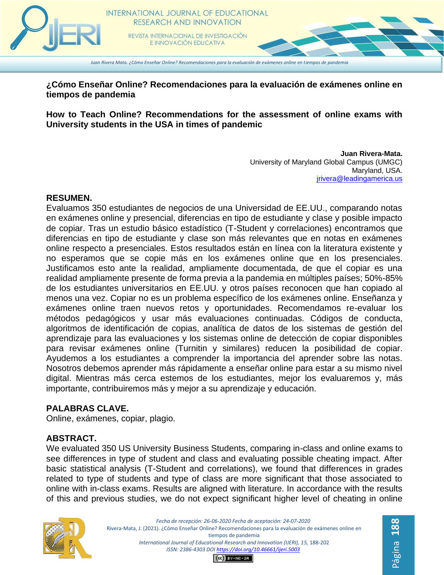

**¿Cómo Enseñar Online? Recomendaciones para la evaluación de exámenes online en tiempos de pandemia**

**How to Teach Online? Recommendations for the assessment of online exams with University students in the USA in times of pandemic**

> **Juan Rivera-Mata.** University of Maryland Global Campus (UMGC) Maryland, USA. [jrivera@leadingamerica.us](mailto:jrivera@leadingamerica.us)

#### **RESUMEN.**

Evaluamos 350 estudiantes de negocios de una Universidad de EE.UU., comparando notas en exámenes online y presencial, diferencias en tipo de estudiante y clase y posible impacto de copiar. Tras un estudio básico estadístico (T-Student y correlaciones) encontramos que diferencias en tipo de estudiante y clase son más relevantes que en notas en exámenes online respecto a presenciales. Estos resultados están en línea con la literatura existente y no esperamos que se copie más en los exámenes online que en los presenciales. Justificamos esto ante la realidad, ampliamente documentada, de que el copiar es una realidad ampliamente presente de forma previa a la pandemia en múltiples países; 50%-85% de los estudiantes universitarios en EE.UU. y otros países reconocen que han copiado al menos una vez. Copiar no es un problema específico de los exámenes online. Enseñanza y exámenes online traen nuevos retos y oportunidades. Recomendamos re-evaluar los métodos pedagógicos y usar más evaluaciones continuadas. Códigos de conducta, algoritmos de identificación de copias, analítica de datos de los sistemas de gestión del aprendizaje para las evaluaciones y los sistemas online de detección de copiar disponibles para revisar exámenes online (Turnitin y similares) reducen la posibilidad de copiar. Ayudemos a los estudiantes a comprender la importancia del aprender sobre las notas. Nosotros debemos aprender más rápidamente a enseñar online para estar a su mismo nivel digital. Mientras más cerca estemos de los estudiantes, mejor los evaluaremos y, más importante, contribuiremos más y mejor a su aprendizaje y educación.

#### **PALABRAS CLAVE.**

Online, exámenes, copiar, plagio.

#### **ABSTRACT.**

We evaluated 350 US University Business Students, comparing in-class and online exams to see differences in type of student and class and evaluating possible cheating impact. After basic statistical analysis (T-Student and correlations), we found that differences in grades related to type of students and type of class are more significant that those associated to online with in-class exams. Results are aligned with literature. In accordance with the results of this and previous studies, we do not expect significant higher level of cheating in online



*Fecha de recepción: 26-06-2020 Fecha de aceptación: 24-07-2020* Rivera-Mata, J. (2021). ¿Cómo Enseñar Online? Recomendaciones para la evaluación de exámenes online en tiempos de pandemia International Journal of Educational Research and Innovation (IJERI), 15, 188-202 *ISSN: 2386-4303 DO[I https://doi.org/10.46661/ijeri.5003](https://doi.org/10.46661/ijeri.5003)*  $(G)$  BY-NC-SA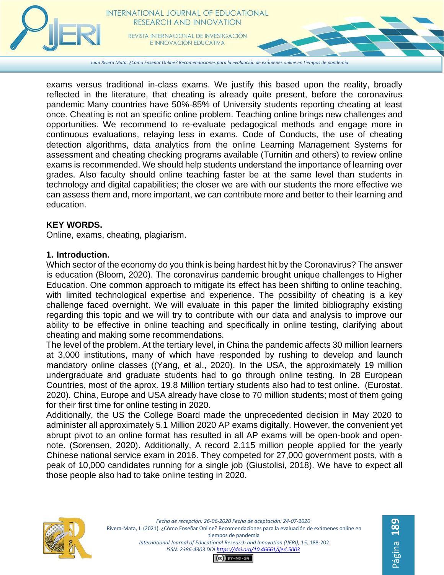

E INNOVACIÓN EDUCATIVA

*Juan Rivera Mata. ¿Cómo Enseñar Online? Recomendaciones para la evaluación de exámenes online en tiempos de pandemia*

exams versus traditional in-class exams. We justify this based upon the reality, broadly reflected in the literature, that cheating is already quite present, before the coronavirus pandemic Many countries have 50%-85% of University students reporting cheating at least once. Cheating is not an specific online problem. Teaching online brings new challenges and opportunities. We recommend to re-evaluate pedagogical methods and engage more in continuous evaluations, relaying less in exams. Code of Conducts, the use of cheating detection algorithms, data analytics from the online Learning Management Systems for assessment and cheating checking programs available (Turnitin and others) to review online exams is recommended. We should help students understand the importance of learning over grades. Also faculty should online teaching faster be at the same level than students in technology and digital capabilities; the closer we are with our students the more effective we can assess them and, more important, we can contribute more and better to their learning and education.

#### **KEY WORDS.**

Online, exams, cheating, plagiarism.

#### **1. Introduction.**

Which sector of the economy do you think is being hardest hit by the Coronavirus? The answer is education (Bloom, 2020). The coronavirus pandemic brought unique challenges to Higher Education. One common approach to mitigate its effect has been shifting to online teaching, with limited technological expertise and experience. The possibility of cheating is a key challenge faced overnight. We will evaluate in this paper the limited bibliography existing regarding this topic and we will try to contribute with our data and analysis to improve our ability to be effective in online teaching and specifically in online testing, clarifying about cheating and making some recommendations.

The level of the problem. At the tertiary level, in China the pandemic affects 30 million learners at 3,000 institutions, many of which have responded by rushing to develop and launch mandatory online classes ((Yang, et al., 2020). In the USA, the approximately 19 million undergraduate and graduate students had to go through online testing. In 28 European Countries, most of the aprox. 19.8 Million tertiary students also had to test online. (Eurostat. 2020). China, Europe and USA already have close to 70 million students; most of them going for their first time for online testing in 2020.

Additionally, the US the College Board made the unprecedented decision in May 2020 to administer all approximately 5.1 Million 2020 AP exams digitally. However, the convenient yet abrupt pivot to an online format has resulted in all AP exams will be open-book and opennote. (Sorensen, 2020). Additionally, A record 2.115 million people applied for the yearly Chinese national service exam in 2016. They competed for 27,000 government posts, with a peak of 10,000 candidates running for a single job (Giustolisi, 2018). We have to expect all those people also had to take online testing in 2020.



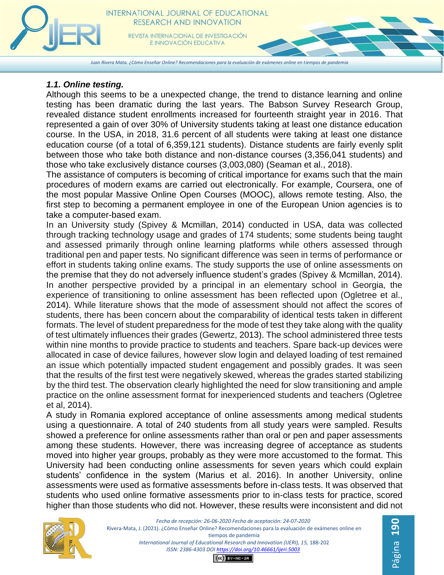*Juan Rivera Mata. ¿Cómo Enseñar Online? Recomendaciones para la evaluación de exámenes online en tiempos de pandemia*

## *1.1. Online testing.*

Although this seems to be a unexpected change, the trend to distance learning and online testing has been dramatic during the last years. The Babson Survey Research Group, revealed distance student enrollments increased for fourteenth straight year in 2016. That represented a gain of over 30% of University students taking at least one distance education course. In the USA, in 2018, 31.6 percent of all students were taking at least one distance education course (of a total of 6,359,121 students). Distance students are fairly evenly split between those who take both distance and non-distance courses (3,356,041 students) and those who take exclusively distance courses (3,003,080) (Seaman et al., 2018).

The assistance of computers is becoming of critical importance for exams such that the main procedures of modern exams are carried out electronically. For example, Coursera, one of the most popular Massive Online Open Courses (MOOC), allows remote testing. Also, the first step to becoming a permanent employee in one of the European Union agencies is to take a computer-based exam.

In an University study (Spivey & Mcmillan, 2014) conducted in USA, data was collected through tracking technology usage and grades of 174 students; some students being taught and assessed primarily through online learning platforms while others assessed through traditional pen and paper tests. No significant difference was seen in terms of performance or effort in students taking online exams. The study supports the use of online assessments on the premise that they do not adversely influence student's grades (Spivey & Mcmillan, 2014). In another perspective provided by a principal in an elementary school in Georgia, the experience of transitioning to online assessment has been reflected upon (Ogletree et al., 2014). While literature shows that the mode of assessment should not affect the scores of students, there has been concern about the comparability of identical tests taken in different formats. The level of student preparedness for the mode of test they take along with the quality of test ultimately influences their grades (Gewertz, 2013). The school administered three tests within nine months to provide practice to students and teachers. Spare back-up devices were allocated in case of device failures, however slow login and delayed loading of test remained an issue which potentially impacted student engagement and possibly grades. It was seen that the results of the first test were negatively skewed, whereas the grades started stabilizing by the third test. The observation clearly highlighted the need for slow transitioning and ample practice on the online assessment format for inexperienced students and teachers (Ogletree et al, 2014).

A study in Romania explored acceptance of online assessments among medical students using a questionnaire. A total of 240 students from all study years were sampled. Results showed a preference for online assessments rather than oral or pen and paper assessments among these students. However, there was increasing degree of acceptance as students moved into higher year groups, probably as they were more accustomed to the format. This University had been conducting online assessments for seven years which could explain students' confidence in the system (Marius et al. 2016). In another University, online assessments were used as formative assessments before in-class tests. It was observed that students who used online formative assessments prior to in-class tests for practice, scored higher than those students who did not. However, these results were inconsistent and did not



*Fecha de recepción: 26-06-2020 Fecha de aceptación: 24-07-2020* Rivera-Mata, J. (2021). ¿Cómo Enseñar Online? Recomendaciones para la evaluación de exámenes online en tiempos de pandemia International Journal of Educational Research and Innovation (IJERI), 15, 188-202 *ISSN: 2386-4303 DO[I https://doi.org/10.46661/ijeri.5003](https://doi.org/10.46661/ijeri.5003)*  $(G)$  BY-NC-SA

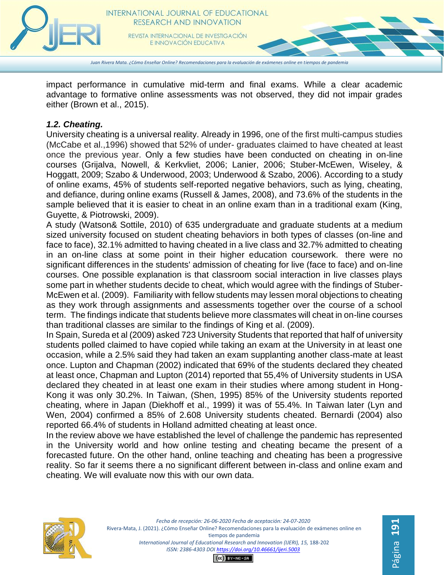

E INNOVACIÓN EDUCATIVA

*Juan Rivera Mata. ¿Cómo Enseñar Online? Recomendaciones para la evaluación de exámenes online en tiempos de pandemia*

impact performance in cumulative mid-term and final exams. While a clear academic advantage to formative online assessments was not observed, they did not impair grades either (Brown et al., 2015).

## *1.2. Cheating.*

University cheating is a universal reality. Already in 1996, one of the first multi-campus studies (McCabe et al.,1996) showed that 52% of under- graduates claimed to have cheated at least once the previous year. Only a few studies have been conducted on cheating in on-line courses (Grijalva, Nowell, & Kerkvliet, 2006; Lanier, 2006; Stuber-McEwen, Wiseley, & Hoggatt, 2009; Szabo & Underwood, 2003; Underwood & Szabo, 2006). According to a study of online exams, 45% of students self-reported negative behaviors, such as lying, cheating, and defiance, during online exams (Russell & James, 2008), and 73.6% of the students in the sample believed that it is easier to cheat in an online exam than in a traditional exam (King, Guyette, & Piotrowski, 2009).

A study (Watson& Sottile, 2010) of 635 undergraduate and graduate students at a medium sized university focused on student cheating behaviors in both types of classes (on-line and face to face), 32.1% admitted to having cheated in a live class and 32.7% admitted to cheating in an on-line class at some point in their higher education coursework. there were no significant differences in the students' admission of cheating for live (face to face) and on-line courses. One possible explanation is that classroom social interaction in live classes plays some part in whether students decide to cheat, which would agree with the findings of Stuber-McEwen et al. (2009). Familiarity with fellow students may lessen moral objections to cheating as they work through assignments and assessments together over the course of a school term. The findings indicate that students believe more classmates will cheat in on-line courses than traditional classes are similar to the findings of King et al. (2009).

In Spain, Sureda et al (2009) asked 723 University Students that reported that half of university students polled claimed to have copied while taking an exam at the University in at least one occasion, while a 2.5% said they had taken an exam supplanting another class-mate at least once. Lupton and Chapman (2002) indicated that 69% of the students declared they cheated at least once, Chapman and Lupton (2014) reported that 55,4% of University students in USA declared they cheated in at least one exam in their studies where among student in Hong-Kong it was only 30.2%. In Taiwan, (Shen, 1995) 85% of the University students reported cheating, where in Japan (Diekhoff et al., 1999) it was of 55.4%. In Taiwan later (Lyn and Wen, 2004) confirmed a 85% of 2.608 University students cheated. Bernardi (2004) also reported 66.4% of students in Holland admitted cheating at least once.

In the review above we have established the level of challenge the pandemic has represented in the University world and how online testing and cheating became the present of a forecasted future. On the other hand, online teaching and cheating has been a progressive reality. So far it seems there a no significant different between in-class and online exam and cheating. We will evaluate now this with our own data.



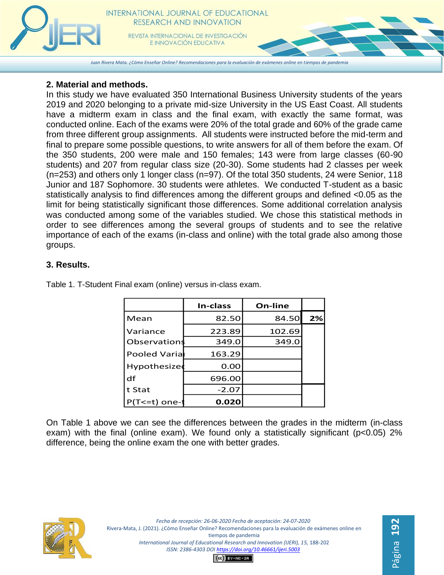

## **2. Material and methods.**

In this study we have evaluated 350 International Business University students of the years 2019 and 2020 belonging to a private mid-size University in the US East Coast. All students have a midterm exam in class and the final exam, with exactly the same format, was conducted online. Each of the exams were 20% of the total grade and 60% of the grade came from three different group assignments. All students were instructed before the mid-term and final to prepare some possible questions, to write answers for all of them before the exam. Of the 350 students, 200 were male and 150 females; 143 were from large classes (60-90 students) and 207 from regular class size (20-30). Some students had 2 classes per week (n=253) and others only 1 longer class (n=97). Of the total 350 students, 24 were Senior, 118 Junior and 187 Sophomore. 30 students were athletes. We conducted T-student as a basic statistically analysis to find differences among the different groups and defined <0.05 as the limit for being statistically significant those differences. Some additional correlation analysis was conducted among some of the variables studied. We chose this statistical methods in order to see differences among the several groups of students and to see the relative importance of each of the exams (in-class and online) with the total grade also among those groups.

## **3. Results.**

|                 | In-class | On-line |    |
|-----------------|----------|---------|----|
| Mean            | 82.50    | 84.50   | 2% |
| Variance        | 223.89   | 102.69  |    |
| Observations    | 349.0    | 349.0   |    |
| Pooled Varial   | 163.29   |         |    |
| Hypothesized    | 0.00     |         |    |
| df              | 696.00   |         |    |
| t Stat          | $-2.07$  |         |    |
| $P(T<=t)$ one-t | 0.020    |         |    |

Table 1. T-Student Final exam (online) versus in-class exam.

On Table 1 above we can see the differences between the grades in the midterm (in-class exam) with the final (online exam). We found only a statistically significant (p<0.05) 2% difference, being the online exam the one with better grades.



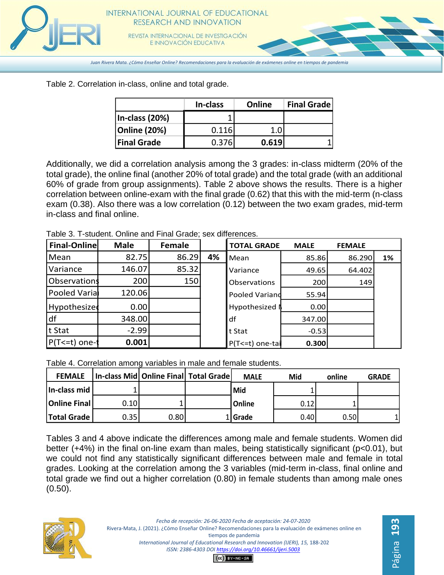

Table 2. Correlation in-class, online and total grade.

|                     | In-class | Online | <b>Final Grade</b> |
|---------------------|----------|--------|--------------------|
| In-class (20%)      |          |        |                    |
| <b>Online (20%)</b> | 0.116    |        |                    |
| <b>Final Grade</b>  | 0.376    | 0.619  |                    |

Additionally, we did a correlation analysis among the 3 grades: in-class midterm (20% of the total grade), the online final (another 20% of total grade) and the total grade (with an additional 60% of grade from group assignments). Table 2 above shows the results. There is a higher correlation between online-exam with the final grade (0.62) that this with the mid-term (n-class exam (0.38). Also there was a low correlation (0.12) between the two exam grades, mid-term in-class and final online.

Table 3. T-student. Online and Final Grade; sex differences.

| <b>Final-Online</b> | <b>Male</b> | <b>Female</b> |    | <b>TOTAL GRADE</b> | <b>MALE</b> | <b>FEMALE</b> |    |
|---------------------|-------------|---------------|----|--------------------|-------------|---------------|----|
| Mean                | 82.75       | 86.29         | 4% | Mean               | 85.86       | 86.290        | 1% |
| Variance            | 146.07      | 85.32         |    | Variance           | 49.65       | 64.402        |    |
| Observations        | 200         | 150           |    | Observations       | 200         | 149           |    |
| Pooled Varia        | 120.06      |               |    | Pooled Variand     | 55.94       |               |    |
| Hypothesized        | 0.00        |               |    | Hypothesized I     | 0.00        |               |    |
| df                  | 348.00      |               |    | df                 | 347.00      |               |    |
| t Stat              | $-2.99$     |               |    | t Stat             | $-0.53$     |               |    |
| $P(T<=t)$ one-t     | 0.001       |               |    | P(T<=t) one-tai    | 0.300       |               |    |

Table 4. Correlation among variables in male and female students.

| <b>FEMALE</b>        | In-class Mid Online Final Total Grade |       | <b>MALE</b>   | Mid  | online | <b>GRADE</b> |
|----------------------|---------------------------------------|-------|---------------|------|--------|--------------|
| In-class mid         |                                       |       | <b>Mid</b>    |      |        |              |
| <b>Online Final</b>  | 0.10                                  |       | <b>Online</b> | 0.12 |        |              |
| <b>Total Grade  </b> | 0.35                                  | 0.80l | 1 Grade       | 0.40 | 0.50   |              |

Tables 3 and 4 above indicate the differences among male and female students. Women did better (+4%) in the final on-line exam than males, being statistically significant (p<0.01), but we could not find any statistically significant differences between male and female in total grades. Looking at the correlation among the 3 variables (mid-term in-class, final online and total grade we find out a higher correlation (0.80) in female students than among male ones (0.50).



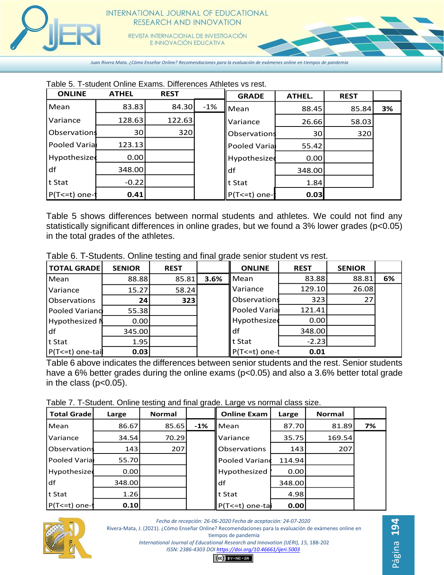

*Juan Rivera Mata. ¿Cómo Enseñar Online? Recomendaciones para la evaluación de exámenes online en tiempos de pandemia*

| Table 5. T-student Online Exams. Differences Athletes vs rest. |  |
|----------------------------------------------------------------|--|
|----------------------------------------------------------------|--|

| <b>ONLINE</b>  | <b>ATHEL</b>    | <b>REST</b> |        | <b>GRADE</b>   | ATHEL.          | <b>REST</b> |    |
|----------------|-----------------|-------------|--------|----------------|-----------------|-------------|----|
| Mean           | 83.83           | 84.30       | $-1\%$ | Mean           | 88.45           | 85.84       | 3% |
| Variance       | 128.63          | 122.63      |        | Variance       | 26.66           | 58.03       |    |
| Observations   | 30 <sup>1</sup> | 320         |        | Observations   | 30 <sup>2</sup> | 320         |    |
| Pooled Varial  | 123.13          |             |        | Pooled Varial  | 55.42           |             |    |
| Hypothesized   | 0.00            |             |        | Hypothesized   | 0.00            |             |    |
| df             | 348.00          |             |        | df             | 348.00          |             |    |
| t Stat         | $-0.22$         |             |        | t Stat         | 1.84            |             |    |
| $P(T=1)$ one-t | 0.41            |             |        | $P(T<=t)$ one- | 0.03            |             |    |

Table 5 shows differences between normal students and athletes. We could not find any statistically significant differences in online grades, but we found a 3% lower grades (p<0.05) in the total grades of the athletes.

| Table 6. T-Students. Online testing and final grade senior student vs rest. |  |  |
|-----------------------------------------------------------------------------|--|--|
|-----------------------------------------------------------------------------|--|--|

| TOTAL GRADE      | <b>SENIOR</b> | <b>REST</b> |      | <b>ONLINE</b>   | <b>REST</b> | <b>SENIOR</b> |    |
|------------------|---------------|-------------|------|-----------------|-------------|---------------|----|
| Mean             | 88.88         | 85.81       | 3.6% | Mean            | 83.88       | 88.81         | 6% |
| Variance         | 15.27         | 58.24       |      | Variance        | 129.10      | 26.08         |    |
| Observations     | 24            | 323         |      | Observations    | 323         | 27            |    |
| Pooled Variand   | 55.38         |             |      | Pooled Varia    | 121.41      |               |    |
| Hypothesized N   | 0.00          |             |      | Hypothesized    | 0.00        |               |    |
| ldf              | 345.00        |             |      | df              | 348.00      |               |    |
| t Stat           | 1.95          |             |      | t Stat          | $-2.23$     |               |    |
| P(T<=t) one-tail | 0.03          |             |      | $P(T<=t)$ one-t | 0.01        |               |    |

Table 6 above indicates the differences between senior students and the rest. Senior students have a 6% better grades during the online exams (p<0.05) and also a 3.6% better total grade in the class  $(p<0.05)$ .

Table 7. T-Student. Online testing and final grade. Large vs normal class size.

| <b>Total Grade</b>  | Large  | <b>Normal</b> |        | <b>Online Exam</b>  | Large  | <b>Normal</b> |    |
|---------------------|--------|---------------|--------|---------------------|--------|---------------|----|
| Mean                | 86.67  | 85.65         | $-1\%$ | Mean                | 87.70  | 81.89         | 7% |
| Variance            | 34.54  | 70.29         |        | Variance            | 35.75  | 169.54        |    |
| <b>Observations</b> | 143 l  | 207           |        | <b>Observations</b> | 143    | 207           |    |
| Pooled Varial       | 55.70  |               |        | Pooled Variand      | 114.94 |               |    |
| Hypothesized        | 0.001  |               |        | Hypothesized        | 0.001  |               |    |
| df                  | 348.00 |               |        | df                  | 348.00 |               |    |
| t Stat              | 1.26   |               |        | t Stat              | 4.98   |               |    |
| $P(T \le t)$ one-1  | 0.10   |               |        | P(T<=t) one-tal     | 0.00   |               |    |



*Fecha de recepción: 26-06-2020 Fecha de aceptación: 24-07-2020* Rivera-Mata, J. (2021). ¿Cómo Enseñar Online? Recomendaciones para la evaluación de exámenes online en tiempos de pandemia *International Journal of Educational Research and Innovation (IJERI), 15,* 188-202 *ISSN: 2386-4303 DO[I https://doi.org/10.46661/ijeri.5003](https://doi.org/10.46661/ijeri.5003)*

Página **194**

 $CO$  $EY-NC-SA$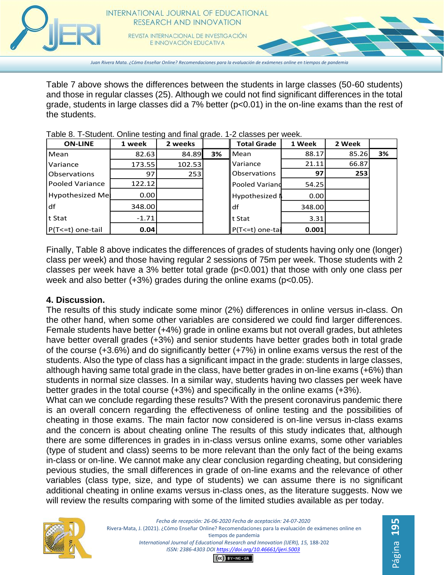

*Juan Rivera Mata. ¿Cómo Enseñar Online? Recomendaciones para la evaluación de exámenes online en tiempos de pandemia*

Table 7 above shows the differences between the students in large classes (50-60 students) and those in regular classes (25). Although we could not find significant differences in the total grade, students in large classes did a 7% better (p<0.01) in the on-line exams than the rest of the students.

| <b>ON-LINE</b>      | 1 week  | 2 weeks |    | <b>Total Grade</b>    | 1 Week | 2 Week |    |
|---------------------|---------|---------|----|-----------------------|--------|--------|----|
| Mean                | 82.63   | 84.89   | 3% | <b>I</b> Mean         | 88.17  | 85.26  | 3% |
| <b>Variance</b>     | 173.55  | 102.53  |    | <b>I</b> Variance     | 21.11  | 66.87  |    |
| <b>Observations</b> | 97      | 253     |    | <b>Observations</b>   | 97     | 253    |    |
| Pooled Variance     | 122.12  |         |    | <b>Pooled Variand</b> | 54.25  |        |    |
| Hypothesized Me     | 0.001   |         |    | Hypothesized N        | 0.00   |        |    |
| ldf                 | 348.00  |         |    | ldf                   | 348.00 |        |    |
| t Stat              | $-1.71$ |         |    | llt Stat              | 3.31   |        |    |
| P(T<=t) one-tail    | 0.04    |         |    | $P(T \le t)$ one-tai  | 0.001  |        |    |

Table 8. T-Student. Online testing and final grade. 1-2 classes per week.

Finally, Table 8 above indicates the differences of grades of students having only one (longer) class per week) and those having regular 2 sessions of 75m per week. Those students with 2 classes per week have a 3% better total grade (p<0.001) that those with only one class per week and also better (+3%) grades during the online exams (p<0.05).

#### **4. Discussion.**

The results of this study indicate some minor (2%) differences in online versus in-class. On the other hand, when some other variables are considered we could find larger differences. Female students have better (+4%) grade in online exams but not overall grades, but athletes have better overall grades (+3%) and senior students have better grades both in total grade of the course (+3.6%) and do significantly better (+7%) in online exams versus the rest of the students. Also the type of class has a significant impact in the grade: students in large classes, although having same total grade in the class, have better grades in on-line exams (+6%) than students in normal size classes. In a similar way, students having two classes per week have better grades in the total course (+3%) and specifically in the online exams (+3%).

What can we conclude regarding these results? With the present coronavirus pandemic there is an overall concern regarding the effectiveness of online testing and the possibilities of cheating in those exams. The main factor now considered is on-line versus in-class exams and the concern is about cheating online The results of this study indicates that, although there are some differences in grades in in-class versus online exams, some other variables (type of student and class) seems to be more relevant than the only fact of the being exams in-class or on-line. We cannot make any clear conclusion regarding cheating, but considering pevious studies, the small differences in grade of on-line exams and the relevance of other variables (class type, size, and type of students) we can assume there is no significant additional cheating in online exams versus in-class ones, as the literature suggests. Now we will review the results comparing with some of the limited studies available as per today.

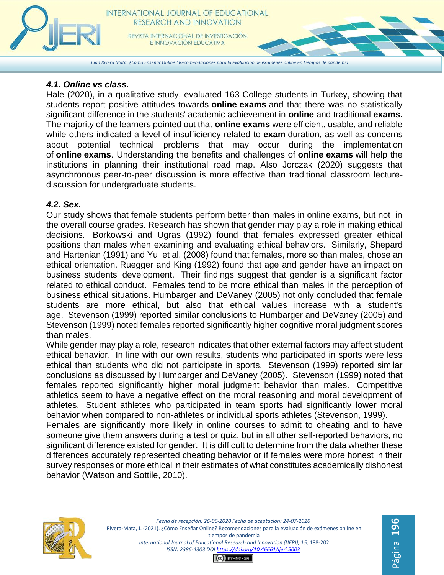

*Juan Rivera Mata. ¿Cómo Enseñar Online? Recomendaciones para la evaluación de exámenes online en tiempos de pandemia*

# *4.1. Online vs class.*

Hale (2020), in a qualitative study, evaluated 163 College students in Turkey, showing that students report positive attitudes towards **online exams** and that there was no statistically significant difference in the students' academic achievement in **online** and traditional **exams.** The majority of the learners pointed out that **online exams** were efficient, usable, and reliable while others indicated a level of insufficiency related to **exam** duration, as well as concerns about potential technical problems that may occur during the implementation of **online exams**. Understanding the benefits and challenges of **online exams** will help the institutions in planning their institutional road map. Also Jorczak (2020) suggests that asynchronous peer-to-peer discussion is more effective than traditional classroom lecturediscussion for undergraduate students.

# *4.2. Sex.*

Our study shows that female students perform better than males in online exams, but not in the overall course grades. Research has shown that gender may play a role in making ethical decisions. Borkowski and Ugras (1992) found that females expressed greater ethical positions than males when examining and evaluating ethical behaviors. Similarly, Shepard and Hartenian (1991) and Yu et al. (2008) found that females, more so than males, chose an ethical orientation. Ruegger and King (1992) found that age and gender have an impact on business students' development. Their findings suggest that gender is a significant factor related to ethical conduct. Females tend to be more ethical than males in the perception of business ethical situations. Humbarger and DeVaney (2005) not only concluded that female students are more ethical, but also that ethical values increase with a student's age. Stevenson (1999) reported similar conclusions to Humbarger and DeVaney (2005) and Stevenson (1999) noted females reported significantly higher cognitive moral judgment scores than males.

While gender may play a role, research indicates that other external factors may affect student ethical behavior. In line with our own results, students who participated in sports were less ethical than students who did not participate in sports. Stevenson (1999) reported similar conclusions as discussed by Humbarger and DeVaney (2005). Stevenson (1999) noted that females reported significantly higher moral judgment behavior than males. Competitive athletics seem to have a negative effect on the moral reasoning and moral development of athletes. Student athletes who participated in team sports had significantly lower moral behavior when compared to non-athletes or individual sports athletes (Stevenson, 1999).

Females are significantly more likely in online courses to admit to cheating and to have someone give them answers during a test or quiz, but in all other self-reported behaviors, no significant difference existed for gender. It is difficult to determine from the data whether these differences accurately represented cheating behavior or if females were more honest in their survey responses or more ethical in their estimates of what constitutes academically dishonest behavior (Watson and Sottile, 2010).



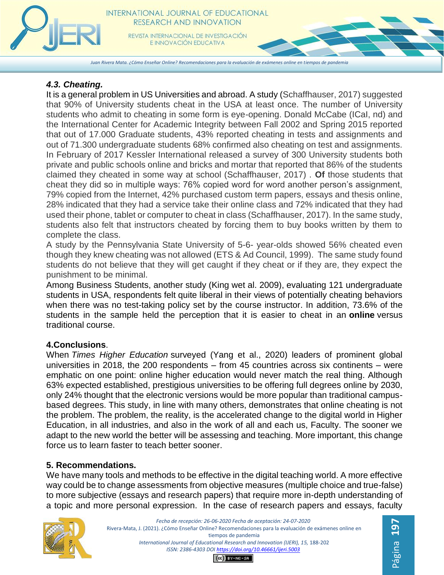

*Juan Rivera Mata. ¿Cómo Enseñar Online? Recomendaciones para la evaluación de exámenes online en tiempos de pandemia*

## *4.3. Cheating.*

It is a general problem in US Universities and abroad. A study (Schaffhauser, 2017) suggested that 90% of University students cheat in the USA at least once. The number of University students who admit to cheating in some form is eye-opening. Donald McCabe (ICaI, nd) and the International Center for Academic Integrity between Fall 2002 and Spring 2015 reported that out of 17.000 Graduate students, 43% reported cheating in tests and assignments and out of 71.300 undergraduate students 68% confirmed also cheating on test and assignments. In February of 2017 Kessler International released a survey of 300 University students both private and public schools online and bricks and mortar that reported that 86% of the students claimed they cheated in some way at school (Schaffhauser, 2017) . **Of** those students that cheat they did so in multiple ways: 76% copied word for word another person's assignment, 79% copied from the Internet, 42% purchased custom term papers, essays and thesis online, 28% indicated that they had a service take their online class and 72% indicated that they had used their phone, tablet or computer to cheat in class (Schaffhauser, 2017). In the same study, students also felt that instructors cheated by forcing them to buy books written by them to complete the class.

A study by the Pennsylvania State University of 5-6- year-olds showed 56% cheated even though they knew cheating was not allowed (ETS & Ad Council, 1999). The same study found students do not believe that they will get caught if they cheat or if they are, they expect the punishment to be minimal.

Among Business Students, another study (King wet al. 2009), evaluating 121 undergraduate students in USA, respondents felt quite liberal in their views of potentially cheating behaviors when there was no test-taking policy set by the course instructor. In addition, 73.6% of the students in the sample held the perception that it is easier to cheat in an **online** versus traditional course.

# **4.Conclusions**.

When *Times Higher Education* surveyed (Yang et al., 2020) leaders of prominent global universities in 2018, the 200 respondents – from 45 countries across six continents – were emphatic on one point: online higher education would never match the real thing. Although 63% expected established, prestigious universities to be offering full degrees online by 2030, only 24% thought that the electronic versions would be more popular than traditional campusbased degrees. This study, in line with many others, demonstrates that online cheating is not the problem. The problem, the reality, is the accelerated change to the digital world in Higher Education, in all industries, and also in the work of all and each us, Faculty. The sooner we adapt to the new world the better will be assessing and teaching. More important, this change force us to learn faster to teach better sooner.

# **5. Recommendations.**

We have many tools and methods to be effective in the digital teaching world. A more effective way could be to change assessments from objective measures (multiple choice and true-false) to more subjective (essays and research papers) that require more in-depth understanding of a topic and more personal expression. In the case of research papers and essays, faculty



*Fecha de recepción: 26-06-2020 Fecha de aceptación: 24-07-2020* Rivera-Mata, J. (2021). ¿Cómo Enseñar Online? Recomendaciones para la evaluación de exámenes online en tiempos de pandemia *International Journal of Educational Research and Innovation (IJERI), 15,* 188-202 *ISSN: 2386-4303 DO[I https://doi.org/10.46661/ijeri.5003](https://doi.org/10.46661/ijeri.5003)*  $(G)$  BY-NC-SA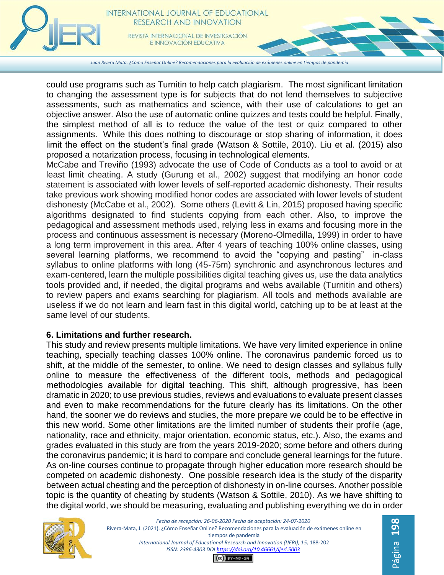

*Juan Rivera Mata. ¿Cómo Enseñar Online? Recomendaciones para la evaluación de exámenes online en tiempos de pandemia*

could use programs such as Turnitin to help catch plagiarism. The most significant limitation to changing the assessment type is for subjects that do not lend themselves to subjective assessments, such as mathematics and science, with their use of calculations to get an objective answer. Also the use of automatic online quizzes and tests could be helpful. Finally, the simplest method of all is to reduce the value of the test or quiz compared to other assignments. While this does nothing to discourage or stop sharing of information, it does limit the effect on the student's final grade (Watson & Sottile, 2010). Liu et al. (2015) also proposed a notarization process, focusing in technological elements.

McCabe and Treviño (1993) advocate the use of Code of Conducts as a tool to avoid or at least limit cheating. A study (Gurung et al., 2002) suggest that modifying an honor code statement is associated with lower levels of self-reported academic dishonesty. Their results take previous work showing modified honor codes are associated with lower levels of student dishonesty (McCabe et al., 2002). Some others (Levitt & Lin, 2015) proposed having specific algorithms designated to find students copying from each other. Also, to improve the pedagogical and assessment methods used, relying less in exams and focusing more in the process and continuous assessment is necessary (Moreno-Olmedilla, 1999) in order to have a long term improvement in this area. After 4 years of teaching 100% online classes, using several learning platforms, we recommend to avoid the "copying and pasting" in-class syllabus to online platforms with long (45-75m) synchronic and asynchronous lectures and exam-centered, learn the multiple possibilities digital teaching gives us, use the data analytics tools provided and, if needed, the digital programs and webs available (Turnitin and others) to review papers and exams searching for plagiarism. All tools and methods available are useless if we do not learn and learn fast in this digital world, catching up to be at least at the same level of our students.

#### **6. Limitations and further research.**

This study and review presents multiple limitations. We have very limited experience in online teaching, specially teaching classes 100% online. The coronavirus pandemic forced us to shift, at the middle of the semester, to online. We need to design classes and syllabus fully online to measure the effectiveness of the different tools, methods and pedagogical methodologies available for digital teaching. This shift, although progressive, has been dramatic in 2020; to use previous studies, reviews and evaluations to evaluate present classes and even to make recommendations for the future clearly has its limitations. On the other hand, the sooner we do reviews and studies, the more prepare we could be to be effective in this new world. Some other limitations are the limited number of students their profile (age, nationality, race and ethnicity, major orientation, economic status, etc.). Also, the exams and grades evaluated in this study are from the years 2019-2020; some before and others during the coronavirus pandemic; it is hard to compare and conclude general learnings for the future. As on-line courses continue to propagate through higher education more research should be competed on academic dishonesty. One possible research idea is the study of the disparity between actual cheating and the perception of dishonesty in on-line courses. Another possible topic is the quantity of cheating by students (Watson & Sottile, 2010). As we have shifting to the digital world, we should be measuring, evaluating and publishing everything we do in order



*Fecha de recepción: 26-06-2020 Fecha de aceptación: 24-07-2020* Rivera-Mata, J. (2021). ¿Cómo Enseñar Online? Recomendaciones para la evaluación de exámenes online en tiempos de pandemia International Journal of Educational Research and Innovation (IJERI), 15, 188-202 *ISSN: 2386-4303 DO[I https://doi.org/10.46661/ijeri.5003](https://doi.org/10.46661/ijeri.5003)*

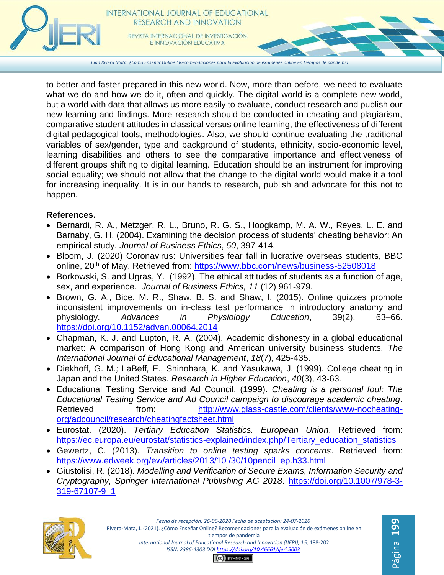

*Juan Rivera Mata. ¿Cómo Enseñar Online? Recomendaciones para la evaluación de exámenes online en tiempos de pandemia*

to better and faster prepared in this new world. Now, more than before, we need to evaluate what we do and how we do it, often and quickly. The digital world is a complete new world, but a world with data that allows us more easily to evaluate, conduct research and publish our new learning and findings. More research should be conducted in cheating and plagiarism, comparative student attitudes in classical versus online learning, the effectiveness of different digital pedagogical tools, methodologies. Also, we should continue evaluating the traditional variables of sex/gender, type and background of students, ethnicity, socio-economic level, learning disabilities and others to see the comparative importance and effectiveness of different groups shifting to digital learning. Education should be an instrument for improving social equality; we should not allow that the change to the digital world would make it a tool for increasing inequality. It is in our hands to research, publish and advocate for this not to happen.

## **References.**

- Bernardi, R. A., Metzger, R. L., Bruno, R. G. S., Hoogkamp, M. A. W., Reyes, L. E. and Barnaby, G. H. (2004). Examining the decision process of students' cheating behavior: An empirical study. *Journal of Business Ethics*, *50*, 397-414.
- Bloom, J. (2020) Coronavirus: Universities fear fall in lucrative overseas students, BBC online, 20<sup>th</sup> of May. Retrieved from: [https://www.bbc.com/news/business-52508018](about:blank)
- Borkowski, S. and Ugras, Y. (1992). The ethical attitudes of students as a function of age, sex, and experience. *Journal of Business Ethics, 11* (12) 961-979.
- Brown, G. A., Bice, M. R., Shaw, B. S. and Shaw, I. (2015). Online quizzes promote inconsistent improvements on in-class test performance in introductory anatomy and physiology. *Advances in Physiology Education*, 39(2), 63–66. <https://doi.org/10.1152/advan.00064.2014>
- Chapman, K. J. and Lupton, R. A. (2004). Academic dishonesty in a global educational market: A comparison of Hong Kong and American university business students. *The International Journal of Educational Management*, *18*(7), 425-435.
- Diekhoff*,* G. M*.;* LaBeff*,* E., Shinohara*,* K. and Yasukawa*,* J. (1999). College cheating in Japan and the United States. *Research in Higher Education*, *40*(3), 43-63*.*
- Educational Testing Service and Ad Council. (1999). *Cheating is a personal foul: The Educational Testing Service and Ad Council campaign to discourage academic cheating*. Retrieved from: [http://www.glass-castle.com/clients/www-nocheating](about:blank)[org/adcouncil/research/cheatingfactsheet.html](about:blank)
- Eurostat. (2020). *Tertiary Education Statistics. European Union*. Retrieved from: [https://ec.europa.eu/eurostat/statistics-explained/index.php/Tertiary\\_education\\_statistics](https://ec.europa.eu/eurostat/statistics-explained/index.php/Tertiary_education_statistics)
- Gewertz, C. (2013). *Transition to online testing sparks concerns*. Retrieved from: [https://www.edweek.org/ew/articles/2013/10 /30/10pencil\\_ep.h33.html](https://www.edweek.org/ew/articles/2013/10%20/30/10pencil_ep.h33.html)
- Giustolisi, R. (2018). *Modelling and Verification of Secure Exams, Information Security and Cryptography, Springer International Publishing AG 2018*. [https://doi.org/10.1007/978-3-](https://doi.org/10.1007/978-3-319-67107-9_1) [319-67107-9\\_1](https://doi.org/10.1007/978-3-319-67107-9_1)



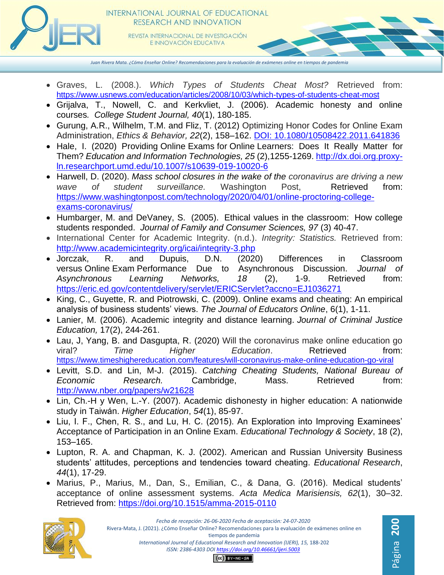

E INNOVACIÓN EDUCATIVA

*Juan Rivera Mata. ¿Cómo Enseñar Online? Recomendaciones para la evaluación de exámenes online en tiempos de pandemia*

- Graves, L. (2008.). *Which Types of Students Cheat Most?* Retrieved from: [https://www.usnews.com/education/articles/2008/10/03/which-types-of-students-cheat-most](about:blank)
- Grijalva, T., Nowell, C. and Kerkvliet, J. (2006). Academic honesty and online courses*. College Student Journal, 40*(1), 180-185.
- Gurung, A.R., Wilhelm, T.M. and Fliz, T. (2012) Optimizing Honor Codes for Online Exam Administration, *Ethics & Behavior, 22*(2), 158–162. DOI: 10.1080/10508422.2011.641836
- Hale, I. (2020) Providing Online Exams for Online Learners: Does It Really Matter for Them? *Education and Information Technologies, 25* (2),1255-1269. [http://dx.doi.org.proxy](about:blank)[ln.researchport.umd.edu/10.1007/s10639-019-10020-6](about:blank)
- Harwell, D. (2020). *Mass school closures in the wake of the coronavirus are driving a new wave of student surveillance.* Washington Post, Retrieved from: [https://www.washingtonpost.com/technology/2020/04/01/online-proctoring-college](about:blank)[exams-coronavirus/](about:blank)
- Humbarger, M. and DeVaney, S. (2005). Ethical values in the classroom: How college students responded. *Journal of Family and Consumer Sciences, 97* (3) 40-47.
- International Center for Academic Integrity. (n.d.). *Integrity: Statistics.* Retrieved from: [http://www.academicintegrity.org/icai/integrity-3.php](about:blank)
- Jorczak, R. and Dupuis, D.N. (2020) Differences in Classroom versus Online Exam Performance Due to Asynchronous Discussion. Journal of versus Online Exam Performance Due to Asynchronous Discussion. *Journal of Asynchronous Learning Networks, 18* (2), 1-9. Retrieved from: [https://eric.ed.gov/contentdelivery/servlet/ERICServlet?accno=EJ1036271](about:blank)
- King, C., Guyette, R. and Piotrowski, C. (2009). Online exams and cheating: An empirical analysis of business students' views. *The Journal of Educators Online*, 6(1), 1-11.
- Lanier, M. (2006). Academic integrity and distance learning. *Journal of Criminal Justice Education,* 17(2), 244-261.
- Lau, J, Yang, B. and Dasgupta, R. (2020) Will the coronavirus make online education go viral? *Time Higher Education*. Retrieved from: [https://www.timeshighereducation.com/features/will-coronavirus-make-online-education-go-viral](about:blank)
- Levitt, S.D. and Lin, M-J. (2015). *Catching Cheating Students, National Bureau of Economic Research.* Cambridge, Mass. Retrieved from: [http://www.nber.org/papers/w21628](about:blank)
- Lin, Ch.-H y Wen, L.-Y. (2007). Academic dishonesty in higher education: A nationwide study in Taiwán. *Higher Education*, *54*(1), 85-97.
- Liu, I. F., Chen, R. S., and Lu, H. C. (2015). An Exploration into Improving Examinees' Acceptance of Participation in an Online Exam. *Educational Technology & Society*, 18 (2), 153–165.
- Lupton, R. A. and Chapman, K. J. (2002). American and Russian University Business students' attitudes, perceptions and tendencies toward cheating. *Educational Research*, *44*(1), 17-29.
- Marius, P., Marius, M., Dan, S., Emilian, C., & Dana, G. (2016). Medical students' acceptance of online assessment systems. *Acta Medica Marisiensis, 62*(1), 30–32. Retrieved from: <https://doi.org/10.1515/amma-2015-0110>

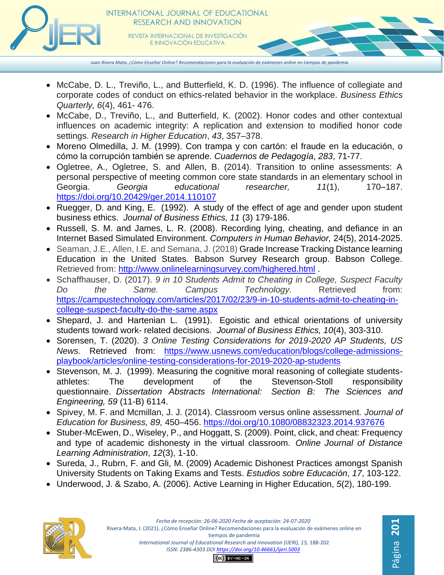

*Juan Rivera Mata. ¿Cómo Enseñar Online? Recomendaciones para la evaluación de exámenes online en tiempos de pandemia*

- McCabe, D. L., Treviño, L., and Butterfield, K. D. (1996). The influence of collegiate and corporate codes of conduct on ethics-related behavior in the workplace. *Business Ethics Quarterly, 6*(4), 461- 476.
- McCabe, D., Treviño, L., and Butterfield, K. (2002). Honor codes and other contextual influences on academic integrity: A replication and extension to modified honor code settings. *Research in Higher Education*, *43*, 357–378.
- Moreno Olmedilla, J. M. (1999). Con trampa y con cartón: el fraude en la educación, o cómo la corrupción también se aprende. *Cuadernos de Pedagogía*, *283*, 71-77.
- Ogletree, A., Ogletree, S. and Allen, B. (2014). Transition to online assessments: A personal perspective of meeting common core state standards in an elementary school in Georgia. *Georgia educational researcher, 11*(1), 170–187. https://doi.org/10.20429/ger.2014.110107
- Ruegger, D. and King, E. (1992). A study of the effect of age and gender upon student business ethics. *Journal of Business Ethics, 11* (3) 179-186.
- Russell, S. M. and James, L. R. (2008). Recording lying, cheating, and defiance in an Internet Based Simulated Environment. *Computers in Human Behavior,* 24(5), 2014-2025.
- Seaman, J.E., Allen, I.E. and Semana, J. (2018) Grade Increase Tracking Distance learning Education in the United States. Babson Survey Research group. Babson College. Retrieved from: [http://www.onlinelearningsurvey.com/highered.html](about:blank) .
- Schaffhauser, D. (2017). *9 in 10 Students Admit to Cheating in College, Suspect Faculty Do the Same. Campus Technology.* Retrieved from: [https://campustechnology.com/articles/2017/02/23/9-in-10-students-admit-to-cheating-in](about:blank)[college-suspect-faculty-do-the-same.aspx](about:blank)
- Shepard, J. and Hartenian L. (1991). Egoistic and ethical orientations of university students toward work- related decisions. *Journal of Business Ethics, 10*(4), 303-310.
- Sorensen, T. (2020). *3 Online Testing Considerations for 2019-2020 AP Students, US News.* Retrieved from: [https://www.usnews.com/education/blogs/college-admissions](about:blank)[playbook/articles/online-testing-considerations-for-2019-2020-ap-students](about:blank)
- Stevenson, M. J. (1999). Measuring the cognitive moral reasoning of collegiate studentsathletes: The development of the Stevenson-Stoll responsibility questionnaire. *Dissertation Abstracts International: Section B: The Sciences and Engineering, 59* (11-B) 6114.
- Spivey, M. F. and Mcmillan, J. J. (2014). Classroom versus online assessment. *Journal of Education for Business, 89,* 450–456. https://doi.org/10.1080/08832323.2014.937676
- Stuber-McEwen, D., Wiseley, P., and Hoggatt, S. (2009). Point, click, and cheat: Frequency and type of academic dishonesty in the virtual classroom. *Online Journal of Distance Learning Administration*, *12*(3), 1-10.
- Sureda, J., Rubrn, F. and Gli, M. (2009) Academic Dishonest Practices amongst Spanish University Students on Taking Exams and Tests. *Estudios sobre Educación*, *17*, 103-122.
- Underwood, J. & Szabo, A. (2006). Active Learning in Higher Education, *5*(2), 180-199.